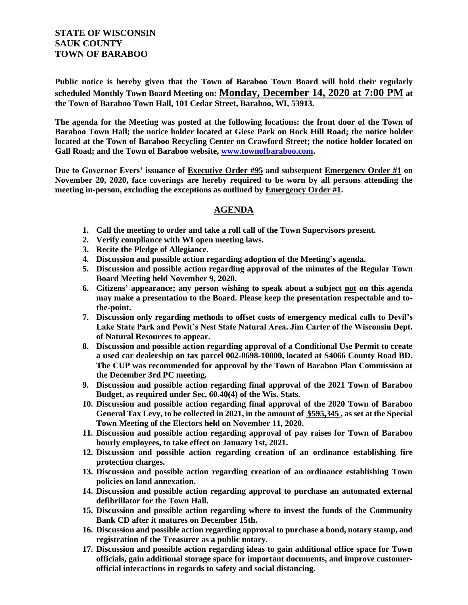## **STATE OF WISCONSIN SAUK COUNTY TOWN OF BARABOO**

**Public notice is hereby given that the Town of Baraboo Town Board will hold their regularly scheduled Monthly Town Board Meeting on: Monday, December 14, 2020 at 7:00 PM at the Town of Baraboo Town Hall, 101 Cedar Street, Baraboo, WI, 53913.**

**The agenda for the Meeting was posted at the following locations: the front door of the Town of Baraboo Town Hall; the notice holder located at Giese Park on Rock Hill Road; the notice holder located at the Town of Baraboo Recycling Center on Crawford Street; the notice holder located on Gall Road; and the Town of Baraboo website, www.townofbaraboo.com.**

**Due to Governor Evers' issuance of Executive Order #95 and subsequent Emergency Order #1 on November 20, 2020, face coverings are hereby required to be worn by all persons attending the meeting in-person, excluding the exceptions as outlined by Emergency Order #1.**

## **AGENDA**

- **1. Call the meeting to order and take a roll call of the Town Supervisors present.**
- **2. Verify compliance with WI open meeting laws.**
- **3. Recite the Pledge of Allegiance.**
- **4. Discussion and possible action regarding adoption of the Meeting's agenda.**
- **5. Discussion and possible action regarding approval of the minutes of the Regular Town Board Meeting held November 9, 2020.**
- **6. Citizens' appearance; any person wishing to speak about a subject not on this agenda may make a presentation to the Board. Please keep the presentation respectable and tothe-point.**
- **7. Discussion only regarding methods to offset costs of emergency medical calls to Devil's Lake State Park and Pewit's Nest State Natural Area. Jim Carter of the Wisconsin Dept. of Natural Resources to appear.**
- **8. Discussion and possible action regarding approval of a Conditional Use Permit to create a used car dealership on tax parcel 002-0698-10000, located at S4066 County Road BD. The CUP was recommended for approval by the Town of Baraboo Plan Commission at the December 3rd PC meeting.**
- **9. Discussion and possible action regarding final approval of the 2021 Town of Baraboo Budget, as required under Sec. 60.40(4) of the Wis. Stats.**
- **10. Discussion and possible action regarding final approval of the 2020 Town of Baraboo General Tax Levy, to be collected in 2021, in the amount of \$595,345 , as set at the Special Town Meeting of the Electors held on November 11, 2020.**
- **11. Discussion and possible action regarding approval of pay raises for Town of Baraboo hourly employees, to take effect on January 1st, 2021.**
- **12. Discussion and possible action regarding creation of an ordinance establishing fire protection charges.**
- **13. Discussion and possible action regarding creation of an ordinance establishing Town policies on land annexation.**
- **14. Discussion and possible action regarding approval to purchase an automated external defibrillator for the Town Hall.**
- **15. Discussion and possible action regarding where to invest the funds of the Community Bank CD after it matures on December 15th.**
- **16. Discussion and possible action regarding approval to purchase a bond, notary stamp, and registration of the Treasurer as a public notary.**
- **17. Discussion and possible action regarding ideas to gain additional office space for Town officials, gain additional storage space for important documents, and improve customerofficial interactions in regards to safety and social distancing.**